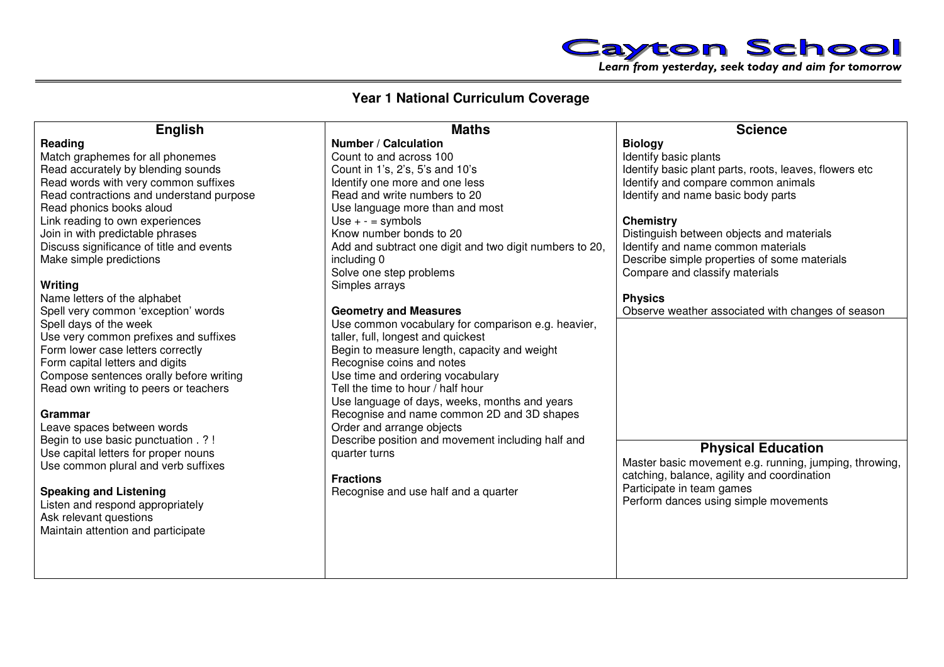

## **Year 1 National Curriculum Coverage**

|                                                                                                                                                                                                                                                                                                                                                                                                                                                                                                                                                                                                                                                                                                                                                                                                                                                                                                                                                                                                | <b>Maths</b>                                                                                                                                                                                                                                                                                                                                                                                                                                                                                                                                                                                                                                                                                                                                                                                                                                                                                                            | <b>Science</b>                                                                                                                                                                                                                                                                                                                                                                                                                                                                                                                                                                                                                                             |
|------------------------------------------------------------------------------------------------------------------------------------------------------------------------------------------------------------------------------------------------------------------------------------------------------------------------------------------------------------------------------------------------------------------------------------------------------------------------------------------------------------------------------------------------------------------------------------------------------------------------------------------------------------------------------------------------------------------------------------------------------------------------------------------------------------------------------------------------------------------------------------------------------------------------------------------------------------------------------------------------|-------------------------------------------------------------------------------------------------------------------------------------------------------------------------------------------------------------------------------------------------------------------------------------------------------------------------------------------------------------------------------------------------------------------------------------------------------------------------------------------------------------------------------------------------------------------------------------------------------------------------------------------------------------------------------------------------------------------------------------------------------------------------------------------------------------------------------------------------------------------------------------------------------------------------|------------------------------------------------------------------------------------------------------------------------------------------------------------------------------------------------------------------------------------------------------------------------------------------------------------------------------------------------------------------------------------------------------------------------------------------------------------------------------------------------------------------------------------------------------------------------------------------------------------------------------------------------------------|
| <b>English</b><br>Reading<br>Match graphemes for all phonemes<br>Read accurately by blending sounds<br>Read words with very common suffixes<br>Read contractions and understand purpose<br>Read phonics books aloud<br>Link reading to own experiences<br>Join in with predictable phrases<br>Discuss significance of title and events<br>Make simple predictions<br>Writing<br>Name letters of the alphabet<br>Spell very common 'exception' words<br>Spell days of the week<br>Use very common prefixes and suffixes<br>Form lower case letters correctly<br>Form capital letters and digits<br>Compose sentences orally before writing<br>Read own writing to peers or teachers<br><b>Grammar</b><br>Leave spaces between words<br>Begin to use basic punctuation . ? !<br>Use capital letters for proper nouns<br>Use common plural and verb suffixes<br><b>Speaking and Listening</b><br>Listen and respond appropriately<br>Ask relevant questions<br>Maintain attention and participate | <b>Number / Calculation</b><br>Count to and across 100<br>Count in 1's, 2's, 5's and 10's<br>Identify one more and one less<br>Read and write numbers to 20<br>Use language more than and most<br>Use $+ -$ = symbols<br>Know number bonds to 20<br>Add and subtract one digit and two digit numbers to 20,<br>including 0<br>Solve one step problems<br>Simples arrays<br><b>Geometry and Measures</b><br>Use common vocabulary for comparison e.g. heavier,<br>taller, full, longest and quickest<br>Begin to measure length, capacity and weight<br>Recognise coins and notes<br>Use time and ordering vocabulary<br>Tell the time to hour / half hour<br>Use language of days, weeks, months and years<br>Recognise and name common 2D and 3D shapes<br>Order and arrange objects<br>Describe position and movement including half and<br>quarter turns<br><b>Fractions</b><br>Recognise and use half and a quarter | <b>Biology</b><br>Identify basic plants<br>Identify basic plant parts, roots, leaves, flowers etc<br>Identify and compare common animals<br>Identify and name basic body parts<br><b>Chemistry</b><br>Distinguish between objects and materials<br>Identify and name common materials<br>Describe simple properties of some materials<br>Compare and classify materials<br><b>Physics</b><br>Observe weather associated with changes of season<br><b>Physical Education</b><br>Master basic movement e.g. running, jumping, throwing,<br>catching, balance, agility and coordination<br>Participate in team games<br>Perform dances using simple movements |